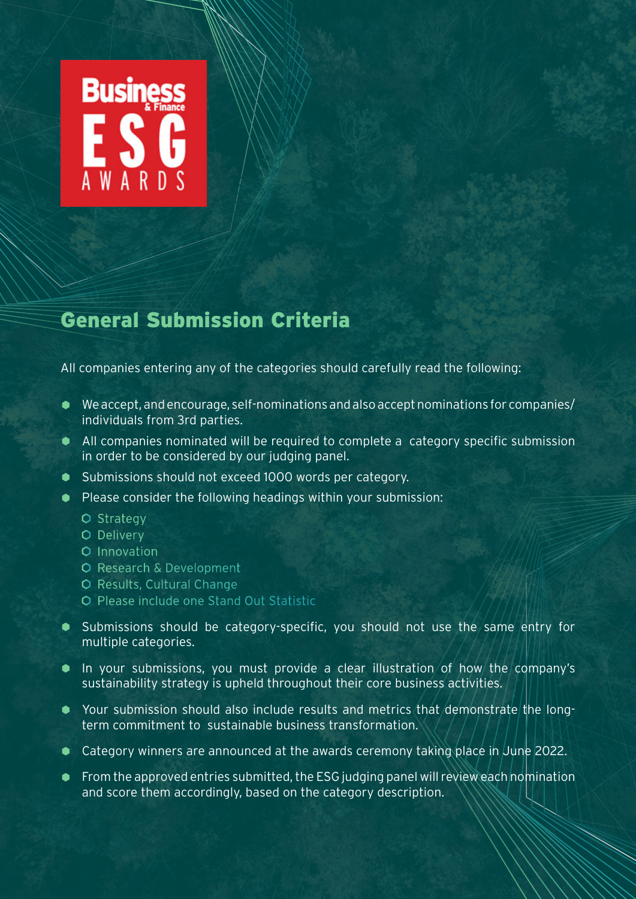

### General Submission Criteria

All companies entering any of the categories should carefully read the following:

- $\bullet$  We accept, and encourage, self-nominations and also accept nominations for companies/ individuals from 3rd parties.
- $\bullet$  All companies nominated will be required to complete a category specific submission in order to be considered by our judging panel.
- Submissions should not exceed 1000 words per category.
- $\bullet$  Please consider the following headings within your submission:
	- **O** Strategy
	- **O** Delivery
	- **O** Innovation
	- O Research & Development
	- O Results, Cultural Change
	- Please include one Stand Out Statistic
- Submissions should be category-specific, you should not use the same entry for multiple categories.
- In your submissions, you must provide a clear illustration of how the company's sustainability strategy is upheld throughout their core business activities.
- Your submission should also include results and metrics that demonstrate the longterm commitment to sustainable business transformation.
- Category winners are announced at the awards ceremony taking place in June 2022.
- $\bullet$  From the approved entries submitted, the ESG judging panel will review each nomination and score them accordingly, based on the category description.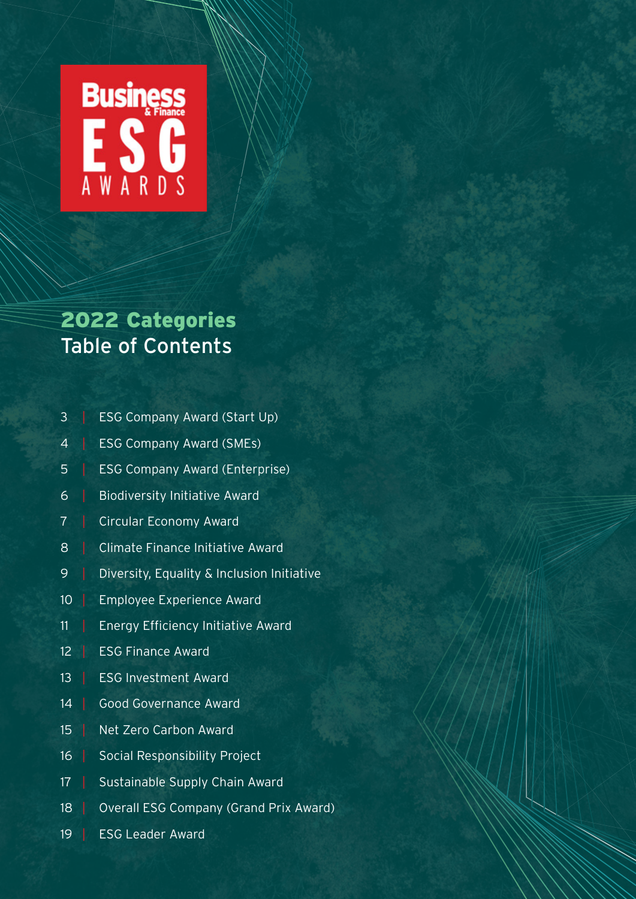

### **2022 Categories** Table of Contents

- 3 | [ESG Company Award \(Start Up\)](#page-2-0)
- 4 | [ESG Company Award \(SMEs\)](#page-3-0)
- 5 | [ESG Company Award \(Enterprise\)](#page-4-0)
- 6 | [Biodiversity Initiative Award](#page-5-0)
- 7 | [Circular Economy Award](#page-6-0)
- 8 | [Climate Finance Initiative Award](#page-7-0)
- 9 | [Diversity, Equality & Inclusion Initiative](#page-8-0)
- 10 | [Employee Experience Award](#page-9-0)
- 11 | [Energy Efficiency Initiative Award](#page-10-0)
- 12 | [ESG Finance Award](#page-11-0)
- 13 | [ESG Investment Award](#page-12-0)
- 14 | [Good Governance Award](#page-13-0)
- 15 | [Net Zero Carbon Award](#page-14-0)
- 16 | [Social Responsibility Project](#page-15-0)
- 17 | [Sustainable Supply Chain Award](#page-16-0)
- 18 | [Overall ESG Company \(Grand Prix Award\)](#page-17-0)
- 19 | [ESG Leader Award](#page-18-0)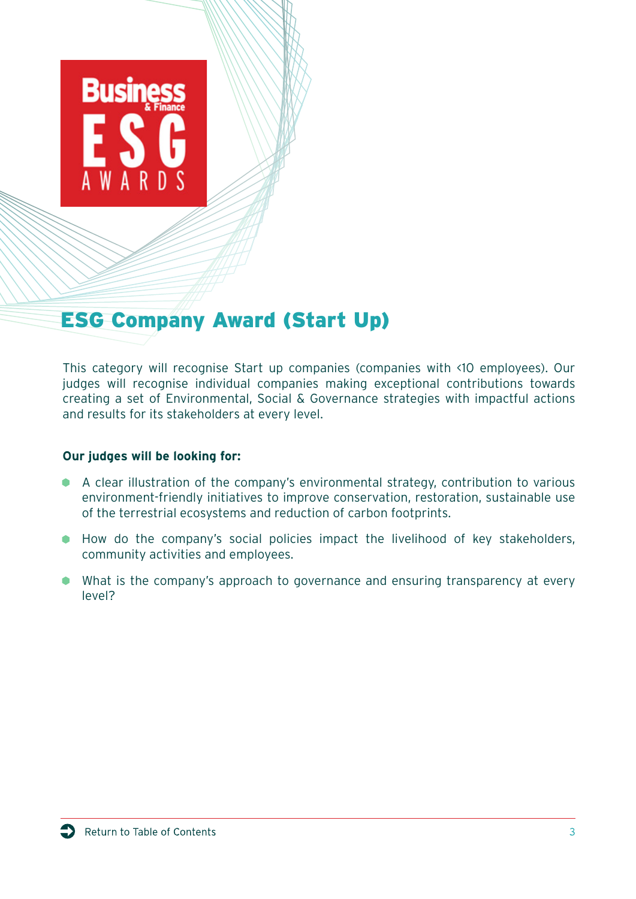<span id="page-2-0"></span>

## ESG Company Award (Start Up)

This category will recognise Start up companies (companies with <10 employees). Our judges will recognise individual companies making exceptional contributions towards creating a set of Environmental, Social & Governance strategies with impactful actions and results for its stakeholders at every level.

- $\bullet$  A clear illustration of the company's environmental strategy, contribution to various environment-friendly initiatives to improve conservation, restoration, sustainable use of the terrestrial ecosystems and reduction of carbon footprints.
- How do the company's social policies impact the livelihood of key stakeholders, community activities and employees.
- $\bullet$  What is the company's approach to governance and ensuring transparency at every level?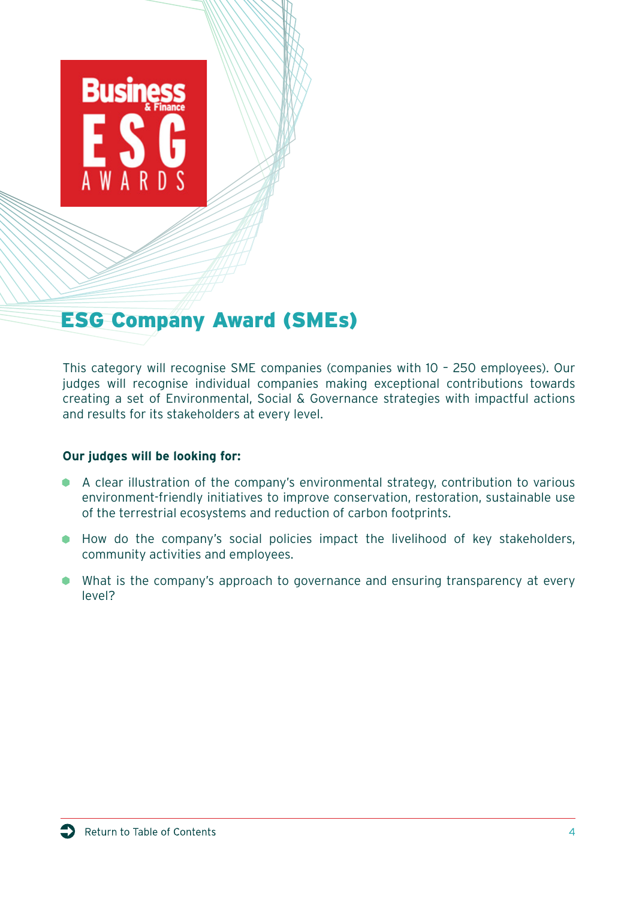<span id="page-3-0"></span>

## ESG Company Award (SMEs)

This category will recognise SME companies (companies with 10 – 250 employees). Our judges will recognise individual companies making exceptional contributions towards creating a set of Environmental, Social & Governance strategies with impactful actions and results for its stakeholders at every level.

- $\bullet$  A clear illustration of the company's environmental strategy, contribution to various environment-friendly initiatives to improve conservation, restoration, sustainable use of the terrestrial ecosystems and reduction of carbon footprints.
- How do the company's social policies impact the livelihood of key stakeholders, community activities and employees.
- $\bullet$  What is the company's approach to governance and ensuring transparency at every level?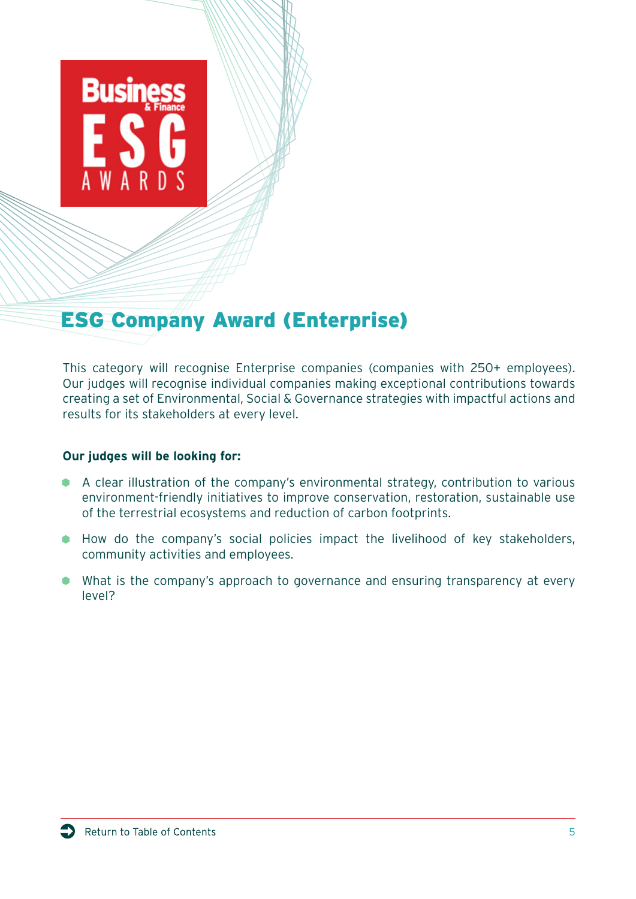<span id="page-4-0"></span>

## ESG Company Award (Enterprise)

This category will recognise Enterprise companies (companies with 250+ employees). Our judges will recognise individual companies making exceptional contributions towards creating a set of Environmental, Social & Governance strategies with impactful actions and results for its stakeholders at every level.

- $\bullet$  A clear illustration of the company's environmental strategy, contribution to various environment-friendly initiatives to improve conservation, restoration, sustainable use of the terrestrial ecosystems and reduction of carbon footprints.
- How do the company's social policies impact the livelihood of key stakeholders, community activities and employees.
- $\bullet$  What is the company's approach to governance and ensuring transparency at every level?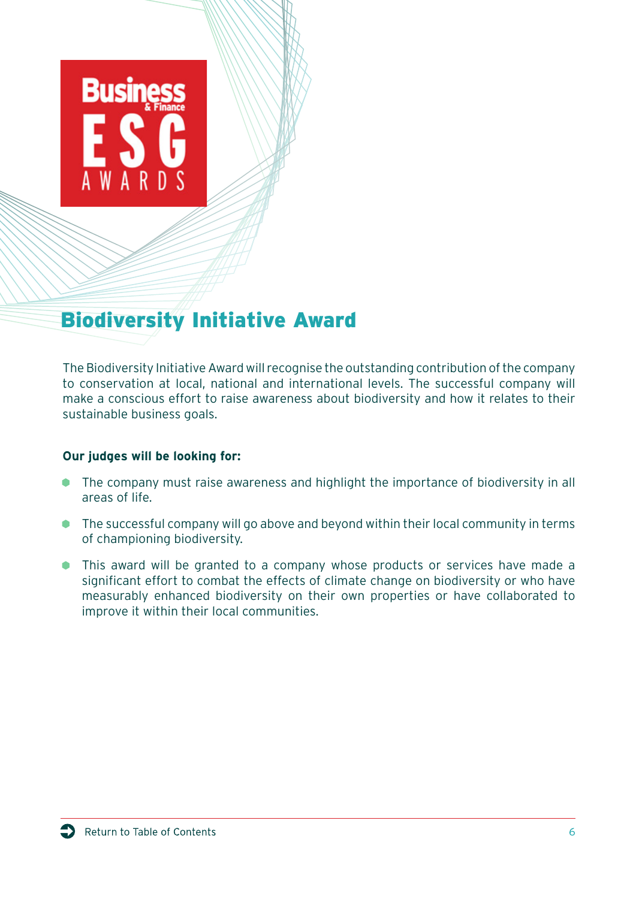<span id="page-5-0"></span>

# Biodiversity Initiative Award

The Biodiversity Initiative Award will recognise the outstanding contribution of the company to conservation at local, national and international levels. The successful company will make a conscious effort to raise awareness about biodiversity and how it relates to their sustainable business goals.

- $\bullet$  The company must raise awareness and highlight the importance of biodiversity in all areas of life.
- $\bullet$  The successful company will go above and beyond within their local community in terms of championing biodiversity.
- This award will be granted to a company whose products or services have made a significant effort to combat the effects of climate change on biodiversity or who have measurably enhanced biodiversity on their own properties or have collaborated to improve it within their local communities.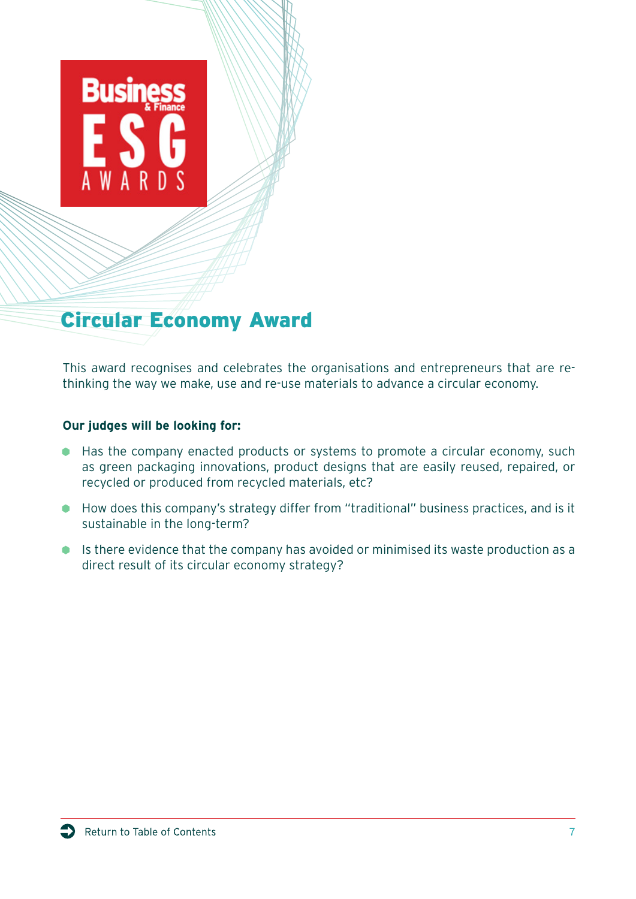<span id="page-6-0"></span>

### Circular Economy Award

This award recognises and celebrates the organisations and entrepreneurs that are rethinking the way we make, use and re-use materials to advance a circular economy.

- $\bullet$  Has the company enacted products or systems to promote a circular economy, such as green packaging innovations, product designs that are easily reused, repaired, or recycled or produced from recycled materials, etc?
- ◆ How does this company's strategy differ from "traditional" business practices, and is it sustainable in the long-term?
- $\bullet$  Is there evidence that the company has avoided or minimised its waste production as a direct result of its circular economy strategy?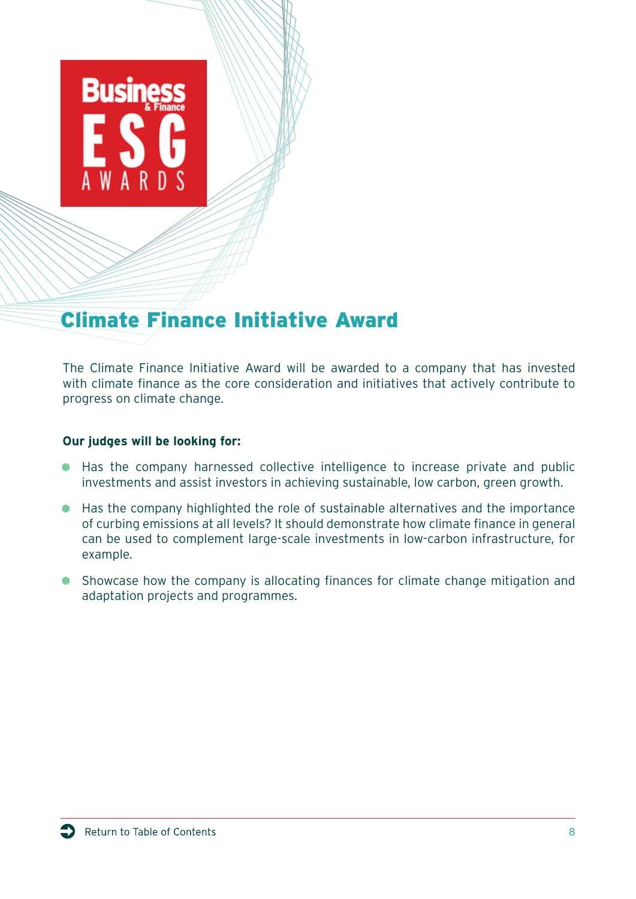<span id="page-7-0"></span>

## Climate Finance Initiative Award

The Climate Finance Initiative Award will be awarded to a company that has invested with climate finance as the core consideration and initiatives that actively contribute to progress on climate change.

- Has the company harnessed collective intelligence to increase private and public investments and assist investors in achieving sustainable, low carbon, green growth.
- $\bullet$  Has the company highlighted the role of sustainable alternatives and the importance of curbing emissions at all levels? It should demonstrate how climate finance in general can be used to complement large-scale investments in low-carbon infrastructure, for example.
- $\bullet$  Showcase how the company is allocating finances for climate change mitigation and adaptation projects and programmes.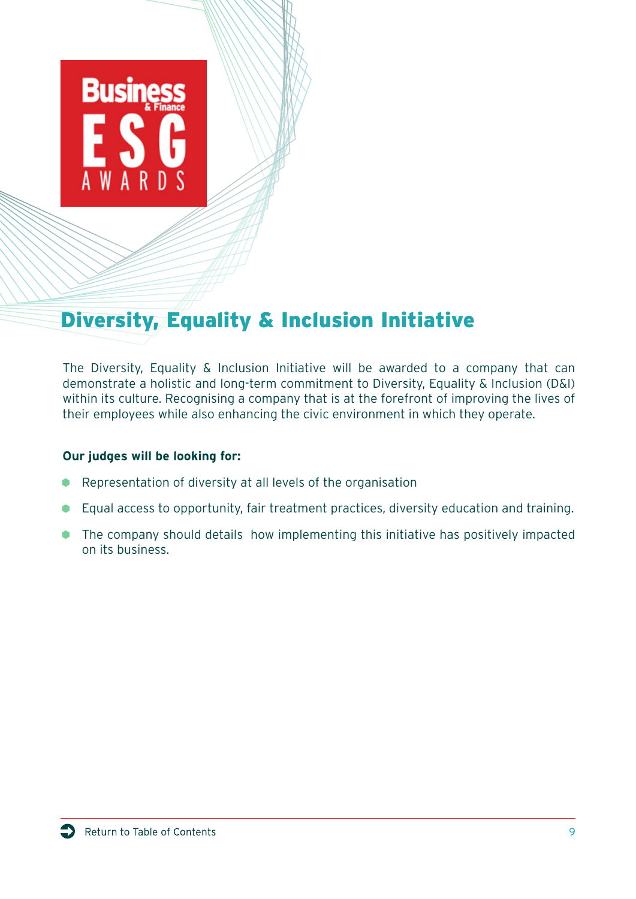<span id="page-8-0"></span>

# Diversity, Equality & Inclusion Initiative

The Diversity, Equality & Inclusion Initiative will be awarded to a company that can demonstrate a holistic and long-term commitment to Diversity, Equality & Inclusion (D&I) within its culture. Recognising a company that is at the forefront of improving the lives of their employees while also enhancing the civic environment in which they operate.

- Representation of diversity at all levels of the organisation
- $\bullet$  Equal access to opportunity, fair treatment practices, diversity education and training.
- $\bullet$  The company should details how implementing this initiative has positively impacted on its business.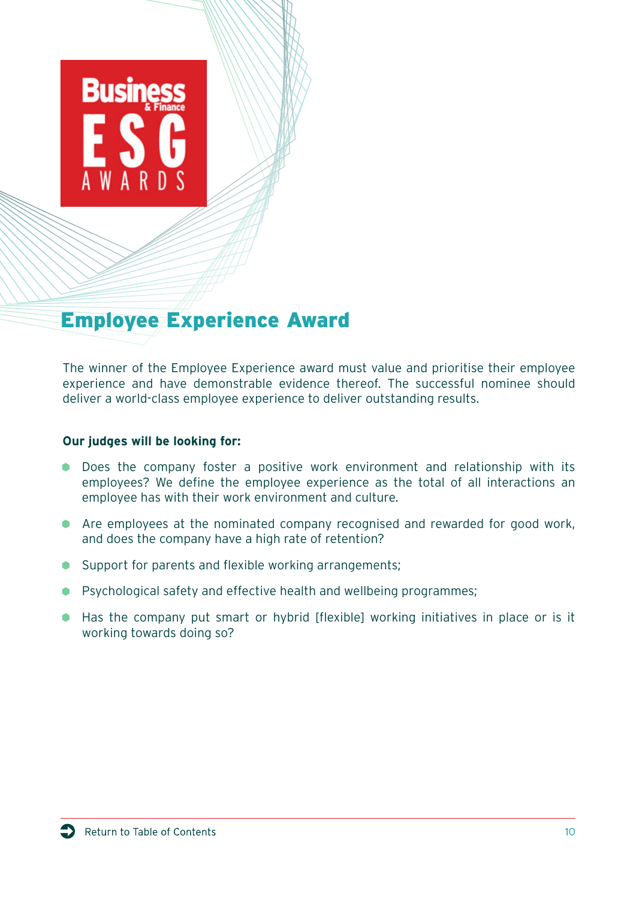<span id="page-9-0"></span>

### Employee Experience Award

The winner of the Employee Experience award must value and prioritise their employee experience and have demonstrable evidence thereof. The successful nominee should deliver a world-class employee experience to deliver outstanding results.

- Does the company foster a positive work environment and relationship with its employees? We define the employee experience as the total of all interactions an employee has with their work environment and culture.
- $\bullet$  Are employees at the nominated company recognised and rewarded for good work, and does the company have a high rate of retention?
- $\bullet$  Support for parents and flexible working arrangements;
- $\bullet$  Psychological safety and effective health and wellbeing programmes;
- ◆ Has the company put smart or hybrid [flexible] working initiatives in place or is it working towards doing so?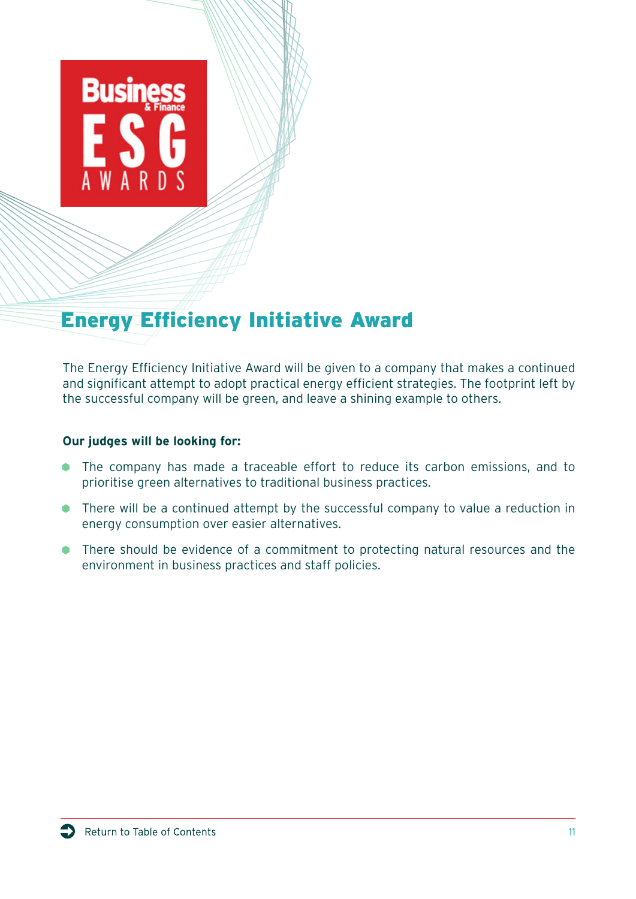<span id="page-10-0"></span>

# Energy Efficiency Initiative Award

The Energy Efficiency Initiative Award will be given to a company that makes a continued and significant attempt to adopt practical energy efficient strategies. The footprint left by the successful company will be green, and leave a shining example to others.

- The company has made a traceable effort to reduce its carbon emissions, and to prioritise green alternatives to traditional business practices.
- $\bullet$  There will be a continued attempt by the successful company to value a reduction in energy consumption over easier alternatives.
- $\bullet$  There should be evidence of a commitment to protecting natural resources and the environment in business practices and staff policies.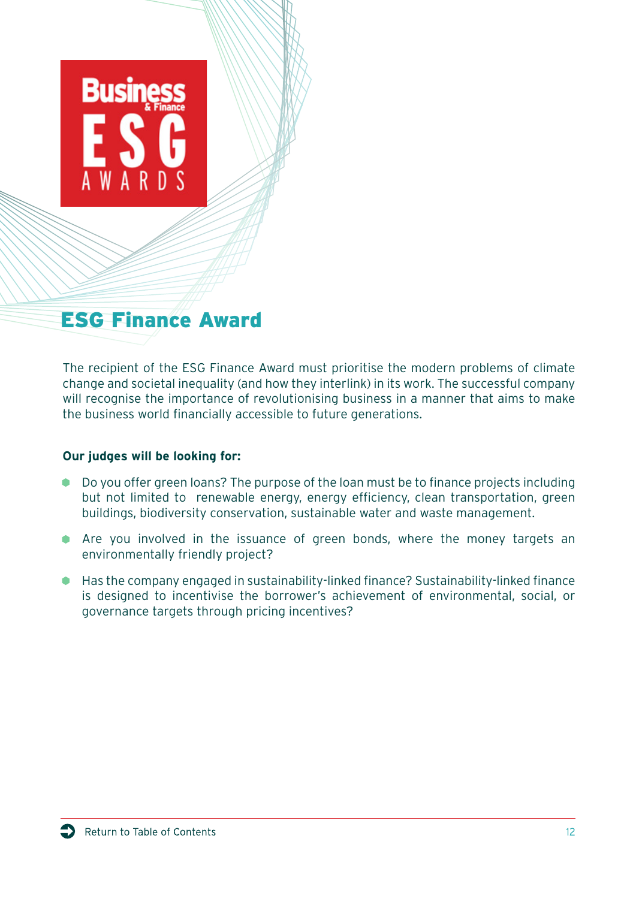<span id="page-11-0"></span>

### ESG Finance Award

The recipient of the ESG Finance Award must prioritise the modern problems of climate change and societal inequality (and how they interlink) in its work. The successful company will recognise the importance of revolutionising business in a manner that aims to make the business world financially accessible to future generations.

- Do you offer green loans? The purpose of the loan must be to finance projects including but not limited to renewable energy, energy efficiency, clean transportation, green buildings, biodiversity conservation, sustainable water and waste management.
- **Are you involved in the issuance of green bonds, where the money targets an** environmentally friendly project?
- $\bullet$  Has the company engaged in sustainability-linked finance? Sustainability-linked finance is designed to incentivise the borrower's achievement of environmental, social, or governance targets through pricing incentives?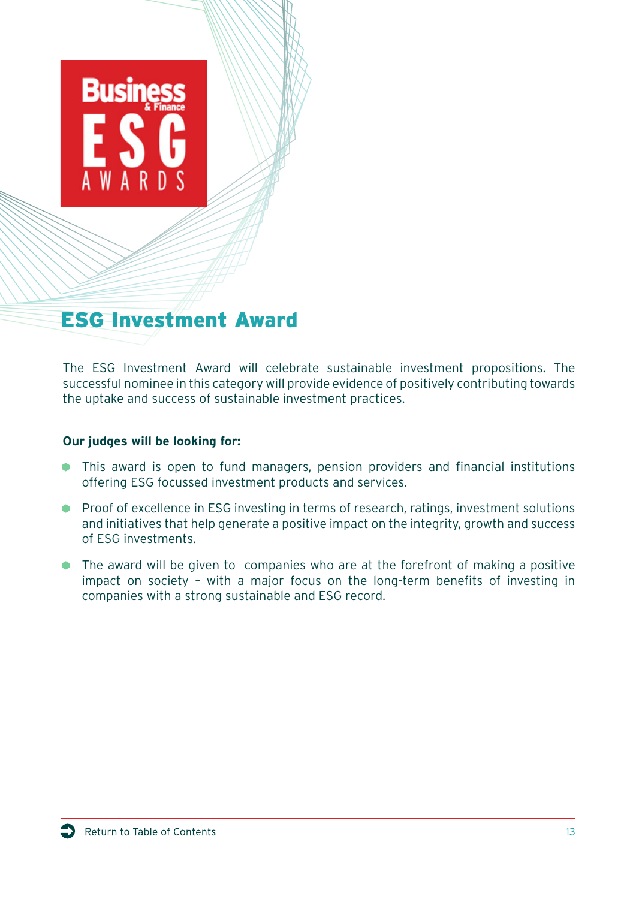<span id="page-12-0"></span>

### ESG Investment Award

The ESG Investment Award will celebrate sustainable investment propositions. The successful nominee in this category will provide evidence of positively contributing towards the uptake and success of sustainable investment practices.

- **•** This award is open to fund managers, pension providers and financial institutions offering ESG focussed investment products and services.
- ◆ Proof of excellence in ESG investing in terms of research, ratings, investment solutions and initiatives that help generate a positive impact on the integrity, growth and success of ESG investments.
- $\bullet$  The award will be given to companies who are at the forefront of making a positive impact on society – with a major focus on the long-term benefits of investing in companies with a strong sustainable and ESG record.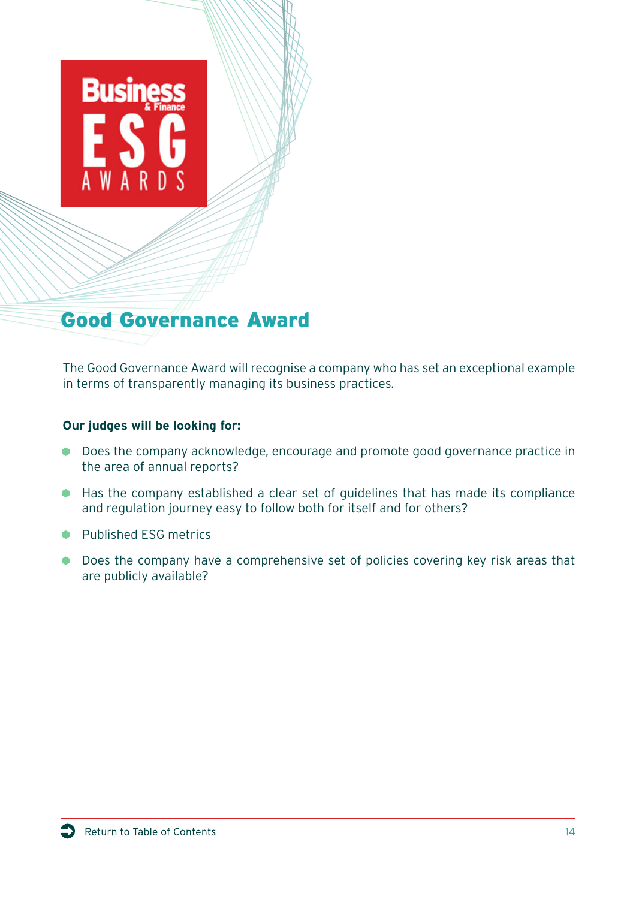<span id="page-13-0"></span>

### Good Governance Award

The Good Governance Award will recognise a company who has set an exceptional example in terms of transparently managing its business practices.

- Does the company acknowledge, encourage and promote good governance practice in the area of annual reports?
- ◆ Has the company established a clear set of guidelines that has made its compliance and regulation journey easy to follow both for itself and for others?
- Published ESG metrics
- $\bullet$  Does the company have a comprehensive set of policies covering key risk areas that are publicly available?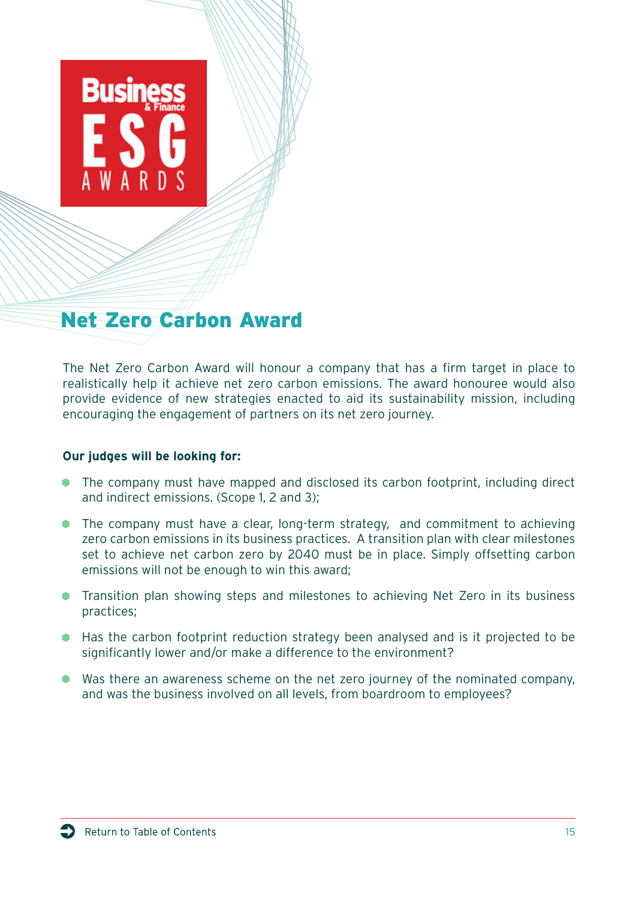<span id="page-14-0"></span>

### Net Zero Carbon Award

The Net Zero Carbon Award will honour a company that has a firm target in place to realistically help it achieve net zero carbon emissions. The award honouree would also provide evidence of new strategies enacted to aid its sustainability mission, including encouraging the engagement of partners on its net zero journey.

- The company must have mapped and disclosed its carbon footprint, including direct and indirect emissions. (Scope 1, 2 and 3);
- $\bullet$  The company must have a clear, long-term strategy, and commitment to achieving zero carbon emissions in its business practices. A transition plan with clear milestones set to achieve net carbon zero by 2040 must be in place. Simply offsetting carbon emissions will not be enough to win this award;
- **•** Transition plan showing steps and milestones to achieving Net Zero in its business practices;
- $\bullet$  Has the carbon footprint reduction strategy been analysed and is it projected to be significantly lower and/or make a difference to the environment?
- $\bullet$  Was there an awareness scheme on the net zero journey of the nominated company, and was the business involved on all levels, from boardroom to employees?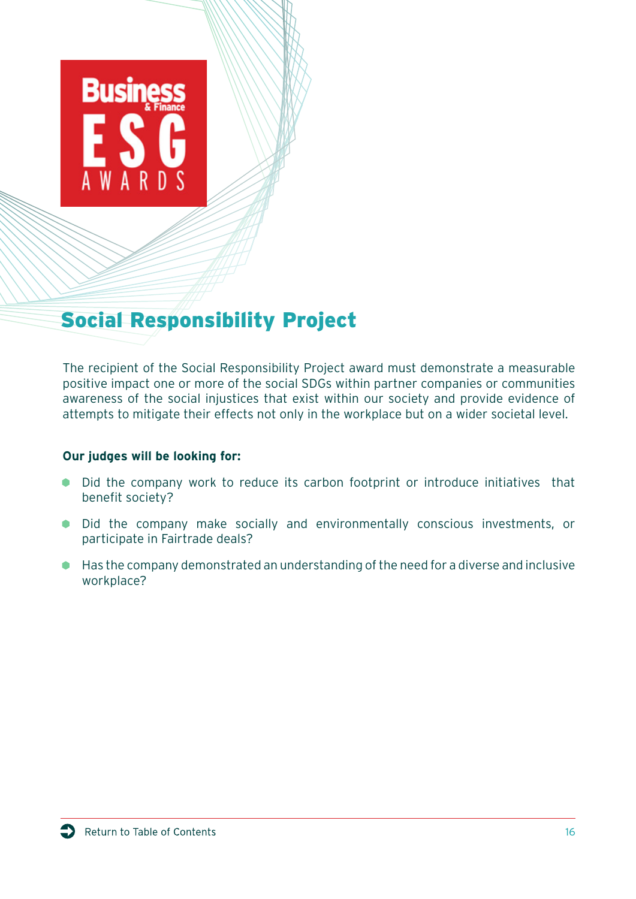<span id="page-15-0"></span>

# Social Responsibility Project

The recipient of the Social Responsibility Project award must demonstrate a measurable positive impact one or more of the social SDGs within partner companies or communities awareness of the social injustices that exist within our society and provide evidence of attempts to mitigate their effects not only in the workplace but on a wider societal level.

- Did the company work to reduce its carbon footprint or introduce initiatives that benefit society?
- $\bullet$  Did the company make socially and environmentally conscious investments, or participate in Fairtrade deals?
- $\bullet$  Has the company demonstrated an understanding of the need for a diverse and inclusive workplace?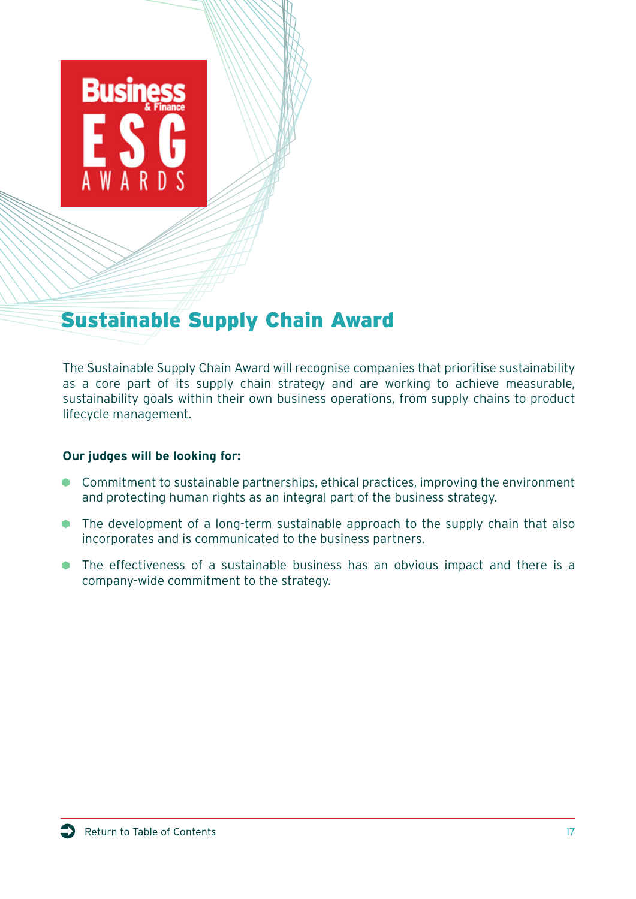<span id="page-16-0"></span>

## Sustainable Supply Chain Award

The Sustainable Supply Chain Award will recognise companies that prioritise sustainability as a core part of its supply chain strategy and are working to achieve measurable, sustainability goals within their own business operations, from supply chains to product lifecycle management.

- $\bullet$  Commitment to sustainable partnerships, ethical practices, improving the environment and protecting human rights as an integral part of the business strategy.
- $\bullet$  The development of a long-term sustainable approach to the supply chain that also incorporates and is communicated to the business partners.
- The effectiveness of a sustainable business has an obvious impact and there is a company-wide commitment to the strategy.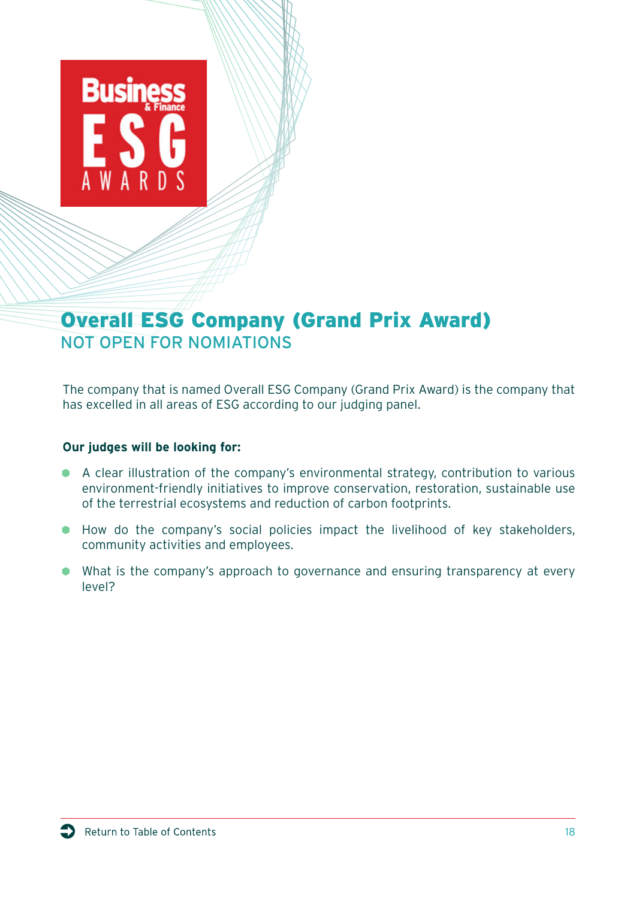<span id="page-17-0"></span>

### Overall ESG Company (Grand Prix Award) NOT OPEN FOR NOMIATIONS

The company that is named Overall ESG Company (Grand Prix Award) is the company that has excelled in all areas of ESG according to our judging panel.

- $\bullet$  A clear illustration of the company's environmental strategy, contribution to various environment-friendly initiatives to improve conservation, restoration, sustainable use of the terrestrial ecosystems and reduction of carbon footprints.
- How do the company's social policies impact the livelihood of key stakeholders, community activities and employees.
- What is the company's approach to governance and ensuring transparency at every level?